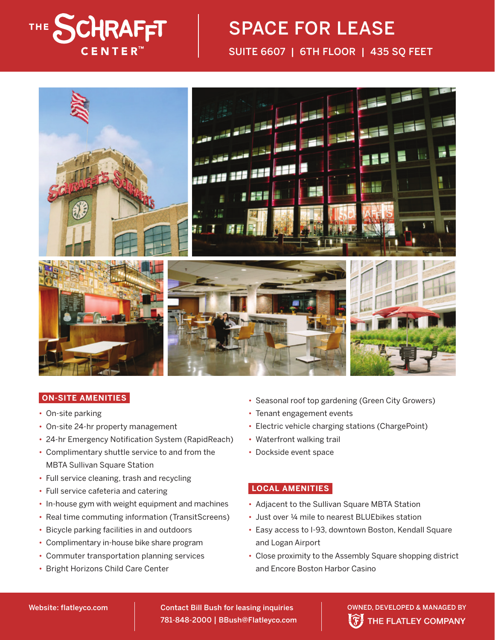

## SPACE FOR LEASE SUITE 6607 | 6TH FLOOR | 435 SQ FEET



## **ON-SITE AMENITIES**

- On-site parking
- On-site 24-hr property management
- 24-hr Emergency Notification System (RapidReach)
- Complimentary shuttle service to and from the MBTA Sullivan Square Station
- Full service cleaning, trash and recycling
- Full service cafeteria and catering
- In-house gym with weight equipment and machines
- Real time commuting information (TransitScreens)
- Bicycle parking facilities in and outdoors
- Complimentary in-house bike share program
- Commuter transportation planning services
- Bright Horizons Child Care Center
- Seasonal roof top gardening (Green City Growers)
- Tenant engagement events
- Electric vehicle charging stations (ChargePoint)
- Waterfront walking trail
- Dockside event space

## **LOCAL AMENITIES**

- Adiacent to the Sullivan Square MBTA Station
- Just over ¼ mile to nearest BLUEbikes station
- Easy access to I-93, downtown Boston, Kendall Square and Logan Airport
- Close proximity to the Assembly Square shopping district and Encore Boston Harbor Casino

781-848-2000 | BBush@Flatleyco.com